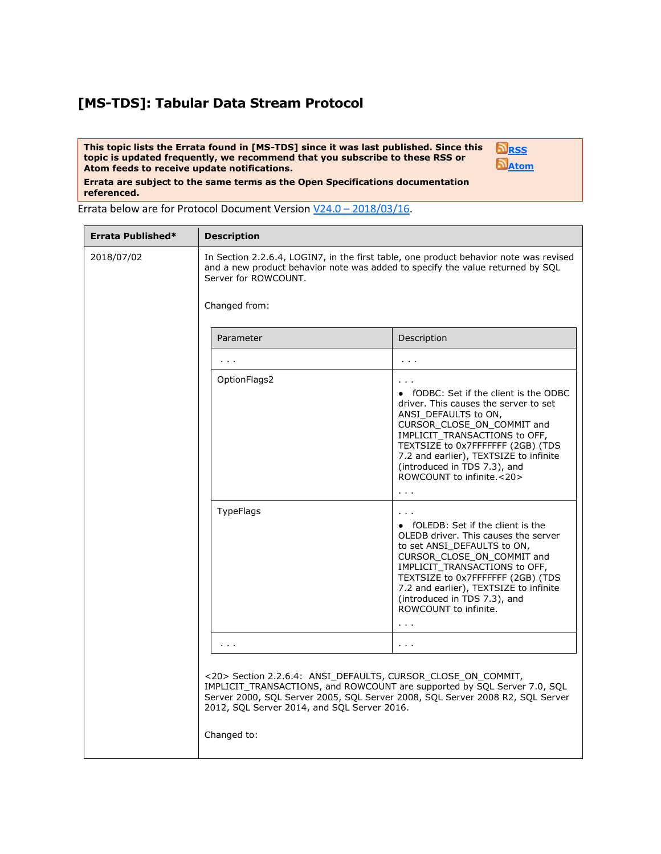## **[MS-TDS]: Tabular Data Stream Protocol**

**This topic lists the Errata found in [MS-TDS] since it was last published. Since this topic is updated frequently, we recommend that you subscribe to these RSS or Atom feeds to receive update notifications.**



**Errata are subject to the same terms as the Open Specifications documentation referenced.**

Errata below are for Protocol Document Version V24.0 – [2018/03/16.](https://msdn.microsoft.com/en-us/library/dd304523.aspx)

| Errata Published* | <b>Description</b>                                                                                                                                                                                                                                                                      |                                                                                                                                                                                                                                                                                                                                                                                |  |
|-------------------|-----------------------------------------------------------------------------------------------------------------------------------------------------------------------------------------------------------------------------------------------------------------------------------------|--------------------------------------------------------------------------------------------------------------------------------------------------------------------------------------------------------------------------------------------------------------------------------------------------------------------------------------------------------------------------------|--|
| 2018/07/02        | In Section 2.2.6.4, LOGIN7, in the first table, one product behavior note was revised<br>and a new product behavior note was added to specify the value returned by SQL<br>Server for ROWCOUNT.                                                                                         |                                                                                                                                                                                                                                                                                                                                                                                |  |
|                   | Changed from:                                                                                                                                                                                                                                                                           |                                                                                                                                                                                                                                                                                                                                                                                |  |
|                   | Parameter                                                                                                                                                                                                                                                                               | Description                                                                                                                                                                                                                                                                                                                                                                    |  |
|                   | $\sim$ $\sim$ $\sim$                                                                                                                                                                                                                                                                    | $\mathbf{r}=\mathbf{r}-\mathbf{r}$                                                                                                                                                                                                                                                                                                                                             |  |
|                   | OptionFlags2                                                                                                                                                                                                                                                                            | • fODBC: Set if the client is the ODBC<br>driver. This causes the server to set<br>ANSI DEFAULTS to ON,<br>CURSOR_CLOSE_ON_COMMIT and<br>IMPLICIT_TRANSACTIONS to OFF,<br>TEXTSIZE to 0x7FFFFFFF (2GB) (TDS<br>7.2 and earlier), TEXTSIZE to infinite<br>(introduced in TDS 7.3), and<br>ROWCOUNT to infinite <20>                                                             |  |
|                   | <b>TypeFlags</b>                                                                                                                                                                                                                                                                        | $\mathbf{r}=\mathbf{r}+\mathbf{r}$<br>• fOLEDB: Set if the client is the<br>OLEDB driver. This causes the server<br>to set ANSI DEFAULTS to ON,<br>CURSOR_CLOSE_ON_COMMIT and<br>IMPLICIT_TRANSACTIONS to OFF,<br>TEXTSIZE to 0x7FFFFFFF (2GB) (TDS<br>7.2 and earlier), TEXTSIZE to infinite<br>(introduced in TDS 7.3), and<br>ROWCOUNT to infinite.<br>$\sim$ $\sim$ $\sim$ |  |
|                   |                                                                                                                                                                                                                                                                                         | $\sim 100$                                                                                                                                                                                                                                                                                                                                                                     |  |
|                   | <20> Section 2.2.6.4: ANSI DEFAULTS, CURSOR CLOSE ON COMMIT,<br>IMPLICIT_TRANSACTIONS, and ROWCOUNT are supported by SQL Server 7.0, SQL<br>Server 2000, SQL Server 2005, SQL Server 2008, SQL Server 2008 R2, SQL Server<br>2012, SQL Server 2014, and SQL Server 2016.<br>Changed to: |                                                                                                                                                                                                                                                                                                                                                                                |  |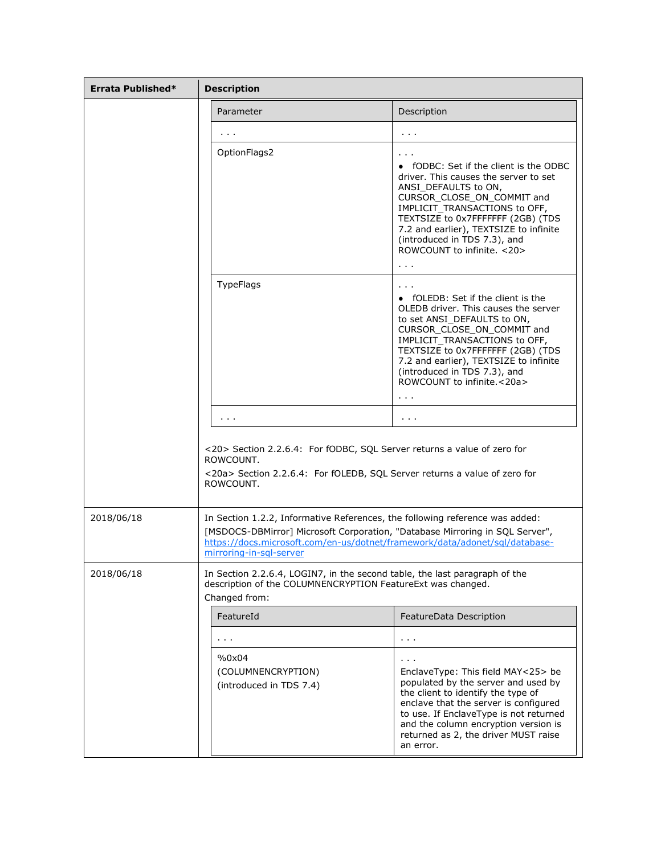| Errata Published* | <b>Description</b>                                                                                                                                                                                                                                                     |                                                                                                                                                                                                                                                                                                                                                |  |
|-------------------|------------------------------------------------------------------------------------------------------------------------------------------------------------------------------------------------------------------------------------------------------------------------|------------------------------------------------------------------------------------------------------------------------------------------------------------------------------------------------------------------------------------------------------------------------------------------------------------------------------------------------|--|
|                   | Parameter                                                                                                                                                                                                                                                              | Description                                                                                                                                                                                                                                                                                                                                    |  |
|                   |                                                                                                                                                                                                                                                                        | $\sim 1000$                                                                                                                                                                                                                                                                                                                                    |  |
|                   | OptionFlags2                                                                                                                                                                                                                                                           | $\cdots$<br>• fODBC: Set if the client is the ODBC<br>driver. This causes the server to set<br>ANSI_DEFAULTS to ON,<br>CURSOR CLOSE ON COMMIT and<br>IMPLICIT_TRANSACTIONS to OFF,<br>TEXTSIZE to 0x7FFFFFFF (2GB) (TDS<br>7.2 and earlier), TEXTSIZE to infinite<br>(introduced in TDS 7.3), and<br>ROWCOUNT to infinite. < 20><br>$\sim 100$ |  |
|                   | <b>TypeFlags</b>                                                                                                                                                                                                                                                       | • fOLEDB: Set if the client is the<br>OLEDB driver. This causes the server<br>to set ANSI_DEFAULTS to ON,<br>CURSOR CLOSE ON COMMIT and<br>IMPLICIT TRANSACTIONS to OFF,<br>TEXTSIZE to 0x7FFFFFFF (2GB) (TDS<br>7.2 and earlier), TEXTSIZE to infinite<br>(introduced in TDS 7.3), and<br>ROWCOUNT to infinite.<20a><br>$\sim 100$            |  |
|                   | $\mathbf{r}=\mathbf{r}+\mathbf{r}$                                                                                                                                                                                                                                     | $\sim 1000$                                                                                                                                                                                                                                                                                                                                    |  |
|                   | <20> Section 2.2.6.4: For fODBC, SQL Server returns a value of zero for<br>ROWCOUNT.<br><20a> Section 2.2.6.4: For fOLEDB, SQL Server returns a value of zero for<br>ROWCOUNT.                                                                                         |                                                                                                                                                                                                                                                                                                                                                |  |
| 2018/06/18        | In Section 1.2.2, Informative References, the following reference was added:<br>[MSDOCS-DBMirror] Microsoft Corporation, "Database Mirroring in SQL Server",<br>https://docs.microsoft.com/en-us/dotnet/framework/data/adonet/sql/database-<br>mirroring-in-sgl-server |                                                                                                                                                                                                                                                                                                                                                |  |
| 2018/06/18        | In Section 2.2.6.4, LOGIN7, in the second table, the last paragraph of the<br>description of the COLUMNENCRYPTION FeatureExt was changed.<br>Changed from:                                                                                                             |                                                                                                                                                                                                                                                                                                                                                |  |
|                   | FeatureId                                                                                                                                                                                                                                                              | FeatureData Description                                                                                                                                                                                                                                                                                                                        |  |
|                   | $\sim$ $\sim$                                                                                                                                                                                                                                                          | .                                                                                                                                                                                                                                                                                                                                              |  |
|                   | %0x04<br>(COLUMNENCRYPTION)<br>(introduced in TDS 7.4)                                                                                                                                                                                                                 | EnclaveType: This field MAY<25> be<br>populated by the server and used by<br>the client to identify the type of<br>enclave that the server is configured<br>to use. If EnclaveType is not returned<br>and the column encryption version is<br>returned as 2, the driver MUST raise<br>an error.                                                |  |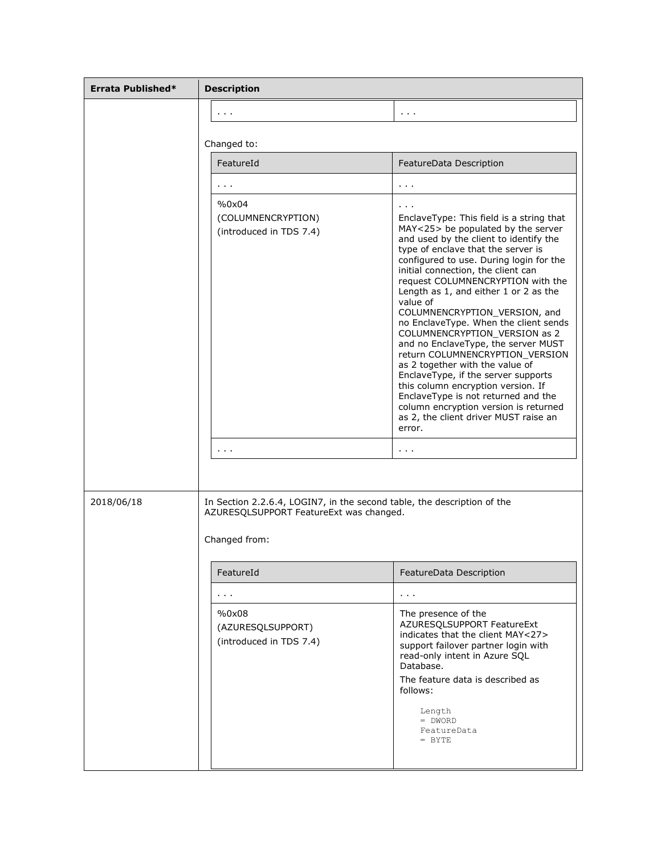| Errata Published* | <b>Description</b>                                                                                                                  |                                                                                                                                                                                                                                                                                                                                                                                                                                                                                                                                                                                                                                                                                                                                                                                   |  |
|-------------------|-------------------------------------------------------------------------------------------------------------------------------------|-----------------------------------------------------------------------------------------------------------------------------------------------------------------------------------------------------------------------------------------------------------------------------------------------------------------------------------------------------------------------------------------------------------------------------------------------------------------------------------------------------------------------------------------------------------------------------------------------------------------------------------------------------------------------------------------------------------------------------------------------------------------------------------|--|
|                   | $\sim 1000$                                                                                                                         | $\mathbf{r}=\mathbf{r}+\mathbf{r}$                                                                                                                                                                                                                                                                                                                                                                                                                                                                                                                                                                                                                                                                                                                                                |  |
|                   |                                                                                                                                     |                                                                                                                                                                                                                                                                                                                                                                                                                                                                                                                                                                                                                                                                                                                                                                                   |  |
|                   | Changed to:<br>FeatureId                                                                                                            |                                                                                                                                                                                                                                                                                                                                                                                                                                                                                                                                                                                                                                                                                                                                                                                   |  |
|                   |                                                                                                                                     | FeatureData Description                                                                                                                                                                                                                                                                                                                                                                                                                                                                                                                                                                                                                                                                                                                                                           |  |
|                   | $\sim$ $\sim$ $\sim$<br>%0x04                                                                                                       | $\mathbf{r}=\mathbf{r}+\mathbf{r}$                                                                                                                                                                                                                                                                                                                                                                                                                                                                                                                                                                                                                                                                                                                                                |  |
|                   | (COLUMNENCRYPTION)<br>(introduced in TDS 7.4)                                                                                       | EnclaveType: This field is a string that<br>MAY<25> be populated by the server<br>and used by the client to identify the<br>type of enclave that the server is<br>configured to use. During login for the<br>initial connection, the client can<br>request COLUMNENCRYPTION with the<br>Length as 1, and either 1 or 2 as the<br>value of<br>COLUMNENCRYPTION_VERSION, and<br>no EnclaveType. When the client sends<br>COLUMNENCRYPTION_VERSION as 2<br>and no EnclaveType, the server MUST<br>return COLUMNENCRYPTION_VERSION<br>as 2 together with the value of<br>EnclaveType, if the server supports<br>this column encryption version. If<br>EnclaveType is not returned and the<br>column encryption version is returned<br>as 2, the client driver MUST raise an<br>error. |  |
|                   | $\sim$ 10 $\pm$ 10 $\pm$                                                                                                            | $\sim 1000$                                                                                                                                                                                                                                                                                                                                                                                                                                                                                                                                                                                                                                                                                                                                                                       |  |
| 2018/06/18        | In Section 2.2.6.4, LOGIN7, in the second table, the description of the<br>AZURESOLSUPPORT FeatureExt was changed.<br>Changed from: |                                                                                                                                                                                                                                                                                                                                                                                                                                                                                                                                                                                                                                                                                                                                                                                   |  |
|                   | FeatureId                                                                                                                           | FeatureData Description                                                                                                                                                                                                                                                                                                                                                                                                                                                                                                                                                                                                                                                                                                                                                           |  |
|                   | $\sim 100$                                                                                                                          | $\sim 1000$                                                                                                                                                                                                                                                                                                                                                                                                                                                                                                                                                                                                                                                                                                                                                                       |  |
|                   | %0x08<br>(AZURESQLSUPPORT)<br>(introduced in TDS 7.4)                                                                               | The presence of the<br>AZURESQLSUPPORT FeatureExt<br>indicates that the client MAY<27><br>support failover partner login with<br>read-only intent in Azure SQL<br>Database.<br>The feature data is described as<br>follows:<br>Length<br>$= DWORD$<br>FeatureData<br>$=$ BYTE                                                                                                                                                                                                                                                                                                                                                                                                                                                                                                     |  |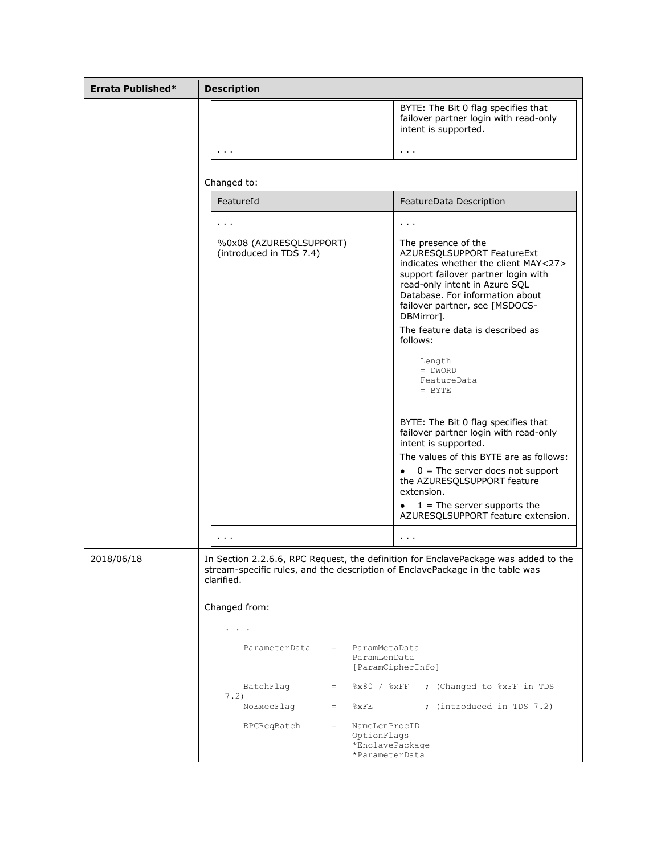| Errata Published* | <b>Description</b>                                                                                                                                                                                                                                                                                                                                         |  |  |
|-------------------|------------------------------------------------------------------------------------------------------------------------------------------------------------------------------------------------------------------------------------------------------------------------------------------------------------------------------------------------------------|--|--|
|                   | BYTE: The Bit 0 flag specifies that<br>failover partner login with read-only<br>intent is supported.                                                                                                                                                                                                                                                       |  |  |
|                   | $\mathbf{r}=\mathbf{r}+\mathbf{r}$<br>$\sim$ 10 $\pm$                                                                                                                                                                                                                                                                                                      |  |  |
|                   | Changed to:                                                                                                                                                                                                                                                                                                                                                |  |  |
|                   | FeatureId<br>FeatureData Description                                                                                                                                                                                                                                                                                                                       |  |  |
|                   | $\sim 1000$<br>$\sim$ 10 $\pm$                                                                                                                                                                                                                                                                                                                             |  |  |
|                   | %0x08 (AZURESQLSUPPORT)<br>The presence of the<br>(introduced in TDS 7.4)<br>AZURESQLSUPPORT FeatureExt<br>indicates whether the client MAY<27><br>support failover partner login with<br>read-only intent in Azure SQL<br>Database. For information about<br>failover partner, see [MSDOCS-<br>DBMirror].<br>The feature data is described as<br>follows: |  |  |
|                   | Length<br>$= DWORD$<br>FeatureData<br>$=$ BYTE                                                                                                                                                                                                                                                                                                             |  |  |
|                   | BYTE: The Bit 0 flag specifies that<br>failover partner login with read-only<br>intent is supported.                                                                                                                                                                                                                                                       |  |  |
|                   | The values of this BYTE are as follows:<br>$0 =$ The server does not support<br>the AZURESQLSUPPORT feature<br>extension.                                                                                                                                                                                                                                  |  |  |
|                   | $1 =$ The server supports the<br>٠<br>AZURESQLSUPPORT feature extension.                                                                                                                                                                                                                                                                                   |  |  |
|                   | $\mathbf{r}=\mathbf{r}+\mathbf{r}$<br>$\sim 100$                                                                                                                                                                                                                                                                                                           |  |  |
| 2018/06/18        | In Section 2.2.6.6, RPC Request, the definition for EnclavePackage was added to the<br>stream-specific rules, and the description of EnclavePackage in the table was<br>clarified.                                                                                                                                                                         |  |  |
|                   | Changed from:                                                                                                                                                                                                                                                                                                                                              |  |  |
|                   |                                                                                                                                                                                                                                                                                                                                                            |  |  |
|                   | ParameterData<br>ParamMetaData<br>$=$ $-$<br>ParamLenData<br>[ParamCipherInfo]                                                                                                                                                                                                                                                                             |  |  |
|                   | 8x80 / 8xFF<br>BatchFlag<br>; (Changed to %xFF in TDS<br>$=$<br>7.2)                                                                                                                                                                                                                                                                                       |  |  |
|                   | NoExecFlaq<br>$8\times$ FE<br>; (introduced in TDS 7.2)<br>$=$ .                                                                                                                                                                                                                                                                                           |  |  |
|                   | RPCReqBatch<br>NameLenProcID<br>$=$<br>OptionFlags<br>*EnclavePackage<br>*ParameterData                                                                                                                                                                                                                                                                    |  |  |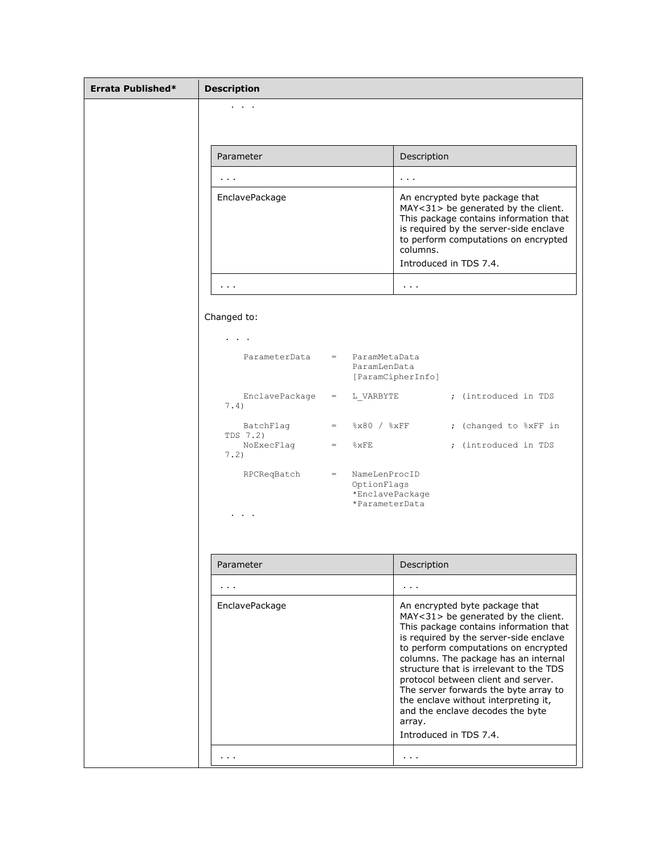| Errata Published* | <b>Description</b>     |                                                                              |                                                                                                                                                                                                                                                                                                                                                                                                                                                                                      |
|-------------------|------------------------|------------------------------------------------------------------------------|--------------------------------------------------------------------------------------------------------------------------------------------------------------------------------------------------------------------------------------------------------------------------------------------------------------------------------------------------------------------------------------------------------------------------------------------------------------------------------------|
|                   |                        |                                                                              |                                                                                                                                                                                                                                                                                                                                                                                                                                                                                      |
|                   |                        |                                                                              |                                                                                                                                                                                                                                                                                                                                                                                                                                                                                      |
|                   | Parameter              |                                                                              | Description                                                                                                                                                                                                                                                                                                                                                                                                                                                                          |
|                   | .                      |                                                                              | $\sim 100$                                                                                                                                                                                                                                                                                                                                                                                                                                                                           |
|                   | EnclavePackage         |                                                                              | An encrypted byte package that<br>MAY<31> be generated by the client.<br>This package contains information that<br>is required by the server-side enclave<br>to perform computations on encrypted<br>columns.<br>Introduced in TDS 7.4.                                                                                                                                                                                                                                              |
|                   | $\sim$ 100 $\pm$       |                                                                              | $\sim$ $\sim$ $\sim$                                                                                                                                                                                                                                                                                                                                                                                                                                                                 |
|                   | Changed to:            |                                                                              |                                                                                                                                                                                                                                                                                                                                                                                                                                                                                      |
|                   |                        |                                                                              |                                                                                                                                                                                                                                                                                                                                                                                                                                                                                      |
|                   | ParameterData          | ParamMetaData<br>$=$ $-$<br>ParamLenData                                     | [ParamCipherInfo]                                                                                                                                                                                                                                                                                                                                                                                                                                                                    |
|                   | EnclavePackage<br>7.4) | L VARBYTE<br>$=$                                                             | ; (introduced in TDS                                                                                                                                                                                                                                                                                                                                                                                                                                                                 |
|                   | BatchFlag<br>TDS 7.2)  | $=$ $8x80 / 8xFF$                                                            | ; (changed to %xFF in                                                                                                                                                                                                                                                                                                                                                                                                                                                                |
|                   | NoExecFlag<br>7.2)     | $=$ $\&$ $\times$ $\text{FE}$                                                | ; (introduced in TDS                                                                                                                                                                                                                                                                                                                                                                                                                                                                 |
|                   | RPCReqBatch            | NameLenProcID<br>$=$ $-$<br>OptionFlags<br>*EnclavePackage<br>*ParameterData |                                                                                                                                                                                                                                                                                                                                                                                                                                                                                      |
|                   |                        |                                                                              |                                                                                                                                                                                                                                                                                                                                                                                                                                                                                      |
|                   | Parameter              |                                                                              | Description                                                                                                                                                                                                                                                                                                                                                                                                                                                                          |
|                   | .                      |                                                                              | $\sim 100$                                                                                                                                                                                                                                                                                                                                                                                                                                                                           |
|                   | EnclavePackage         |                                                                              | An encrypted byte package that<br>MAY<31> be generated by the client.<br>This package contains information that<br>is required by the server-side enclave<br>to perform computations on encrypted<br>columns. The package has an internal<br>structure that is irrelevant to the TDS<br>protocol between client and server.<br>The server forwards the byte array to<br>the enclave without interpreting it,<br>and the enclave decodes the byte<br>array.<br>Introduced in TDS 7.4. |
|                   | $\sim 1000$            |                                                                              | $\sim$ $\sim$                                                                                                                                                                                                                                                                                                                                                                                                                                                                        |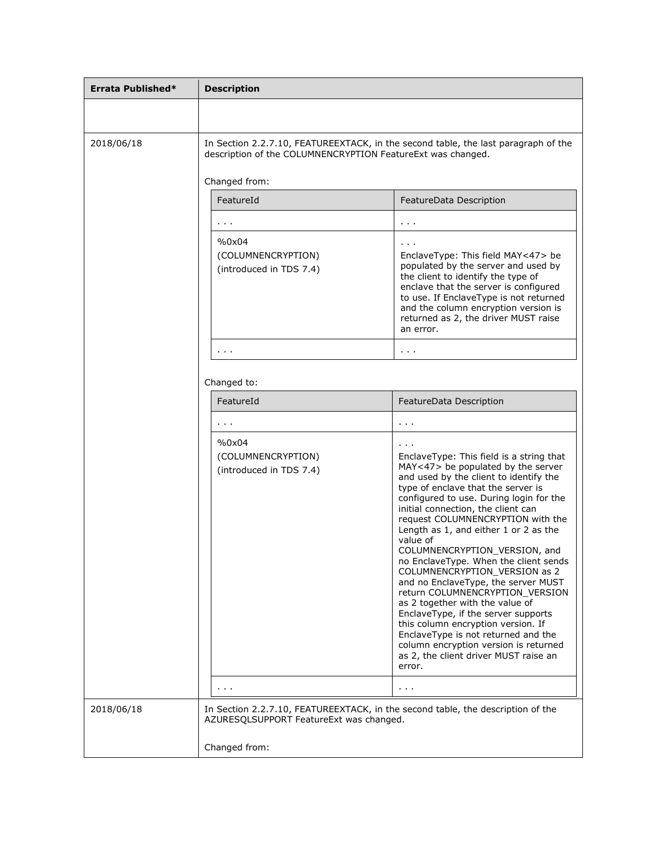| Errata Published* | <b>Description</b>                                                                                                                                |                                                                                                                                                                                                                                                                                                                                                                                                                                                                                                                                                                                                                                                                                                                                                                                   |  |
|-------------------|---------------------------------------------------------------------------------------------------------------------------------------------------|-----------------------------------------------------------------------------------------------------------------------------------------------------------------------------------------------------------------------------------------------------------------------------------------------------------------------------------------------------------------------------------------------------------------------------------------------------------------------------------------------------------------------------------------------------------------------------------------------------------------------------------------------------------------------------------------------------------------------------------------------------------------------------------|--|
|                   |                                                                                                                                                   |                                                                                                                                                                                                                                                                                                                                                                                                                                                                                                                                                                                                                                                                                                                                                                                   |  |
| 2018/06/18        | In Section 2.2.7.10, FEATUREEXTACK, in the second table, the last paragraph of the<br>description of the COLUMNENCRYPTION FeatureExt was changed. |                                                                                                                                                                                                                                                                                                                                                                                                                                                                                                                                                                                                                                                                                                                                                                                   |  |
|                   | Changed from:                                                                                                                                     |                                                                                                                                                                                                                                                                                                                                                                                                                                                                                                                                                                                                                                                                                                                                                                                   |  |
|                   | FeatureId                                                                                                                                         | FeatureData Description                                                                                                                                                                                                                                                                                                                                                                                                                                                                                                                                                                                                                                                                                                                                                           |  |
|                   | $\sim 1000$                                                                                                                                       | $\sim 1000$                                                                                                                                                                                                                                                                                                                                                                                                                                                                                                                                                                                                                                                                                                                                                                       |  |
|                   | %0x04<br>(COLUMNENCRYPTION)<br>(introduced in TDS 7.4)                                                                                            | EnclaveType: This field MAY<47> be<br>populated by the server and used by<br>the client to identify the type of<br>enclave that the server is configured<br>to use. If EnclaveType is not returned<br>and the column encryption version is<br>returned as 2, the driver MUST raise<br>an error.                                                                                                                                                                                                                                                                                                                                                                                                                                                                                   |  |
|                   | $\sim$ 10 $\pm$ 10 $\pm$                                                                                                                          | $\sim 1000$                                                                                                                                                                                                                                                                                                                                                                                                                                                                                                                                                                                                                                                                                                                                                                       |  |
|                   | Changed to:                                                                                                                                       |                                                                                                                                                                                                                                                                                                                                                                                                                                                                                                                                                                                                                                                                                                                                                                                   |  |
|                   | FeatureId                                                                                                                                         | FeatureData Description                                                                                                                                                                                                                                                                                                                                                                                                                                                                                                                                                                                                                                                                                                                                                           |  |
|                   | $\sim$ $\sim$ $\sim$                                                                                                                              | $\alpha$ , $\alpha$ , $\alpha$                                                                                                                                                                                                                                                                                                                                                                                                                                                                                                                                                                                                                                                                                                                                                    |  |
|                   | %0x04<br>(COLUMNENCRYPTION)<br>(introduced in TDS 7.4)                                                                                            | EnclaveType: This field is a string that<br>MAY<47> be populated by the server<br>and used by the client to identify the<br>type of enclave that the server is<br>configured to use. During login for the<br>initial connection, the client can<br>request COLUMNENCRYPTION with the<br>Length as 1, and either 1 or 2 as the<br>value of<br>COLUMNENCRYPTION_VERSION, and<br>no EnclaveType. When the client sends<br>COLUMNENCRYPTION VERSION as 2<br>and no EnclaveType, the server MUST<br>return COLUMNENCRYPTION VERSION<br>as 2 together with the value of<br>EnclaveType, if the server supports<br>this column encryption version. If<br>EnclaveType is not returned and the<br>column encryption version is returned<br>as 2, the client driver MUST raise an<br>error. |  |
|                   |                                                                                                                                                   | $\sim 100$                                                                                                                                                                                                                                                                                                                                                                                                                                                                                                                                                                                                                                                                                                                                                                        |  |
| 2018/06/18        | In Section 2.2.7.10, FEATUREEXTACK, in the second table, the description of the<br>AZURESQLSUPPORT FeatureExt was changed.                        |                                                                                                                                                                                                                                                                                                                                                                                                                                                                                                                                                                                                                                                                                                                                                                                   |  |
|                   | Changed from:                                                                                                                                     |                                                                                                                                                                                                                                                                                                                                                                                                                                                                                                                                                                                                                                                                                                                                                                                   |  |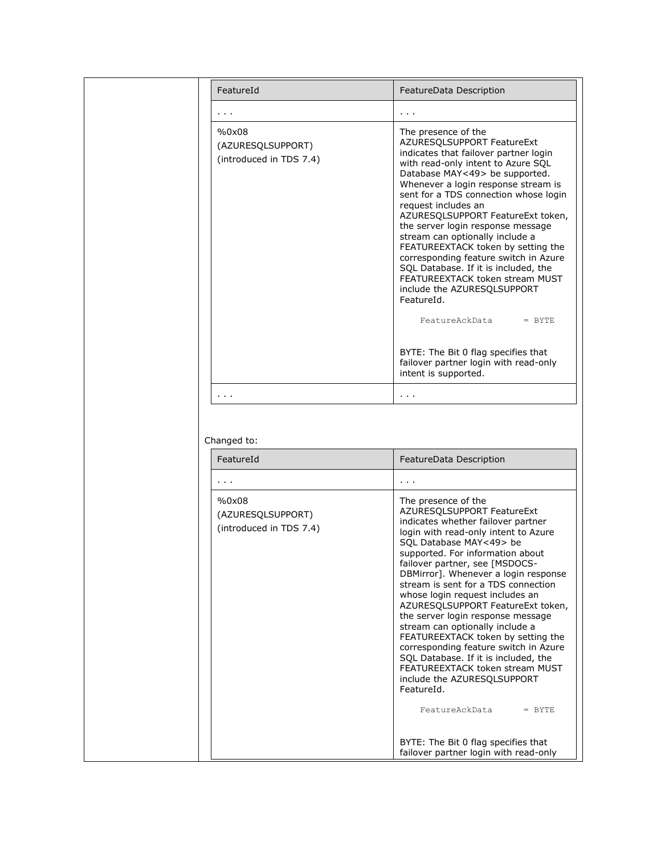| FeatureId                                             | FeatureData Description                                                                                                                                                                                                                                                                                                                                                                                                                                                                                                                                                                                                                                                                                                             |
|-------------------------------------------------------|-------------------------------------------------------------------------------------------------------------------------------------------------------------------------------------------------------------------------------------------------------------------------------------------------------------------------------------------------------------------------------------------------------------------------------------------------------------------------------------------------------------------------------------------------------------------------------------------------------------------------------------------------------------------------------------------------------------------------------------|
| .                                                     | $\sim 100$                                                                                                                                                                                                                                                                                                                                                                                                                                                                                                                                                                                                                                                                                                                          |
| %0x08<br>(AZURESQLSUPPORT)<br>(introduced in TDS 7.4) | The presence of the<br>AZURESQLSUPPORT FeatureExt<br>indicates that failover partner login<br>with read-only intent to Azure SQL<br>Database MAY<49> be supported.<br>Whenever a login response stream is<br>sent for a TDS connection whose login<br>request includes an<br>AZURESQLSUPPORT FeatureExt token,<br>the server login response message<br>stream can optionally include a<br>FEATUREEXTACK token by setting the<br>corresponding feature switch in Azure<br>SQL Database. If it is included, the<br>FEATUREEXTACK token stream MUST<br>include the AZURESQLSUPPORT<br>FeatureId.<br>FeatureAckData<br>$=$ BYTE<br>BYTE: The Bit 0 flag specifies that<br>failover partner login with read-only<br>intent is supported. |
| $\sim$ $\sim$ $\sim$                                  | $\sim 100$                                                                                                                                                                                                                                                                                                                                                                                                                                                                                                                                                                                                                                                                                                                          |
|                                                       |                                                                                                                                                                                                                                                                                                                                                                                                                                                                                                                                                                                                                                                                                                                                     |
| Changed to:<br>FeatureId                              | FeatureData Description                                                                                                                                                                                                                                                                                                                                                                                                                                                                                                                                                                                                                                                                                                             |
| .                                                     |                                                                                                                                                                                                                                                                                                                                                                                                                                                                                                                                                                                                                                                                                                                                     |
| %0x08<br>(AZURESQLSUPPORT)<br>(introduced in TDS 7.4) | The presence of the<br>AZURESQLSUPPORT FeatureExt<br>indicates whether failover partner<br>login with read-only intent to Azure<br>SQL Database MAY<49> be<br>supported. For information about<br>failover partner, see [MSDOCS-<br>DBMirror]. Whenever a login response<br>stream is sent for a TDS connection<br>whose login request includes an<br>AZURESQLSUPPORT FeatureExt token,<br>the server login response message<br>stream can optionally include a<br>FEATUREEXTACK token by setting the<br>corresponding feature switch in Azure<br>SQL Database. If it is included, the<br>FEATUREEXTACK token stream MUST<br>include the AZURESQLSUPPORT<br>FeatureId.<br>FeatureAckData<br>$=$ BYTE                                |